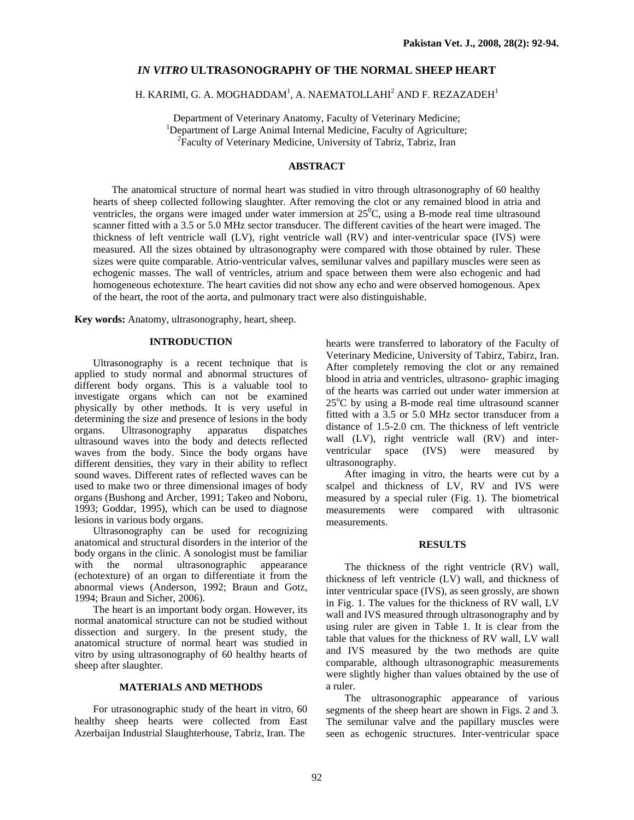# *IN VITRO* **ULTRASONOGRAPHY OF THE NORMAL SHEEP HEART**

# H. KARIMI, G. A. MOGHADDAM $^{\rm l}$ , A. NAEMATOLLAHI $^{\rm 2}$  AND F. REZAZADEH $^{\rm l}$

Department of Veterinary Anatomy, Faculty of Veterinary Medicine; <sup>1</sup>Department of Large Animal Internal Medicine, Faculty of Agriculture; Faculty of Veterinary Medicine, University of Tabriz, Tabriz, Iran

## **ABSTRACT**

 The anatomical structure of normal heart was studied in vitro through ultrasonography of 60 healthy hearts of sheep collected following slaughter. After removing the clot or any remained blood in atria and ventricles, the organs were imaged under water immersion at  $25^{\circ}$ C, using a B-mode real time ultrasound scanner fitted with a 3.5 or 5.0 MHz sector transducer. The different cavities of the heart were imaged. The thickness of left ventricle wall (LV), right ventricle wall (RV) and inter-ventricular space (IVS) were measured. All the sizes obtained by ultrasonography were compared with those obtained by ruler. These sizes were quite comparable. Atrio-ventricular valves, semilunar valves and papillary muscles were seen as echogenic masses. The wall of ventricles, atrium and space between them were also echogenic and had homogeneous echotexture. The heart cavities did not show any echo and were observed homogenous. Apex of the heart, the root of the aorta, and pulmonary tract were also distinguishable.

**Key words:** Anatomy, ultrasonography, heart, sheep.

## **INTRODUCTION**

 Ultrasonography is a recent technique that is applied to study normal and abnormal structures of different body organs. This is a valuable tool to investigate organs which can not be examined physically by other methods. It is very useful in determining the size and presence of lesions in the body organs. Ultrasonography apparatus dispatches ultrasound waves into the body and detects reflected waves from the body. Since the body organs have different densities, they vary in their ability to reflect sound waves. Different rates of reflected waves can be used to make two or three dimensional images of body organs (Bushong and Archer, 1991; Takeo and Noboru, 1993; Goddar, 1995), which can be used to diagnose lesions in various body organs.

Ultrasonography can be used for recognizing anatomical and structural disorders in the interior of the body organs in the clinic. A sonologist must be familiar<br>with the normal ultrasonographic appearance with the normal ultrasonographic (echotexture) of an organ to differentiate it from the abnormal views (Anderson, 1992; Braun and Gotz, 1994; Braun and Sicher, 2006).

The heart is an important body organ. However, its normal anatomical structure can not be studied without dissection and surgery. In the present study, the anatomical structure of normal heart was studied in vitro by using ultrasonography of 60 healthy hearts of sheep after slaughter.

### **MATERIALS AND METHODS**

 For utrasonographic study of the heart in vitro, 60 healthy sheep hearts were collected from East Azerbaijan Industrial Slaughterhouse, Tabriz, Iran. The

hearts were transferred to laboratory of the Faculty of Veterinary Medicine, University of Tabirz, Tabirz, Iran. After completely removing the clot or any remained blood in atria and ventricles, ultrasono- graphic imaging of the hearts was carried out under water immersion at  $25^{\circ}$ C by using a B-mode real time ultrasound scanner fitted with a 3.5 or 5.0 MHz sector transducer from a distance of 1.5-2.0 cm. The thickness of left ventricle wall (LV), right ventricle wall (RV) and interventricular space (IVS) were measured by ultrasonography.

After imaging in vitro, the hearts were cut by a scalpel and thickness of LV, RV and IVS were measured by a special ruler (Fig. 1). The biometrical measurements were compared with ultrasonic measurements.

#### **RESULTS**

The thickness of the right ventricle (RV) wall, thickness of left ventricle (LV) wall, and thickness of inter ventricular space (IVS), as seen grossly, are shown in Fig. 1. The values for the thickness of RV wall, LV wall and IVS measured through ultrasonography and by using ruler are given in Table 1. It is clear from the table that values for the thickness of RV wall, LV wall and IVS measured by the two methods are quite comparable, although ultrasonographic measurements were slightly higher than values obtained by the use of a ruler.

 The ultrasonographic appearance of various segments of the sheep heart are shown in Figs. 2 and 3. The semilunar valve and the papillary muscles were seen as echogenic structures. Inter-ventricular space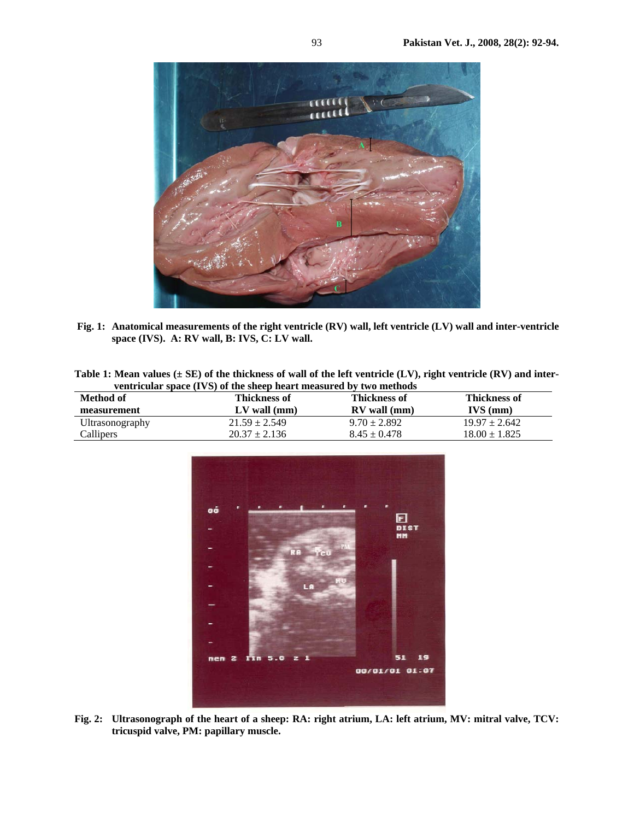

 **Fig. 1: Anatomical measurements of the right ventricle (RV) wall, left ventricle (LV) wall and inter-ventricle space (IVS). A: RV wall, B: IVS, C: LV wall.** 

| Table 1: Mean values $(\pm SE)$ of the thickness of wall of the left ventricle $(LV)$ , right ventricle $(RV)$ and inter- |  |
|---------------------------------------------------------------------------------------------------------------------------|--|
| ventricular space (IVS) of the sheep heart measured by two methods                                                        |  |

| Method of<br>measurement | Thickness of<br>$LV$ wall $(mm)$ | <b>Thickness of</b><br>$RV$ wall $(mm)$ | Thickness of<br>$IVS$ (mm) |
|--------------------------|----------------------------------|-----------------------------------------|----------------------------|
| <b>Ultrasonography</b>   | $21.59 \pm 2.549$                | $9.70 \pm 2.892$                        | $19.97 \pm 2.642$          |
| Callipers                | $20.37 \pm 2.136$                | $8.45 \pm 0.478$                        | $18.00 \pm 1.825$          |



**Fig. 2: Ultrasonograph of the heart of a sheep: RA: right atrium, LA: left atrium, MV: mitral valve, TCV: tricuspid valve, PM: papillary muscle.**